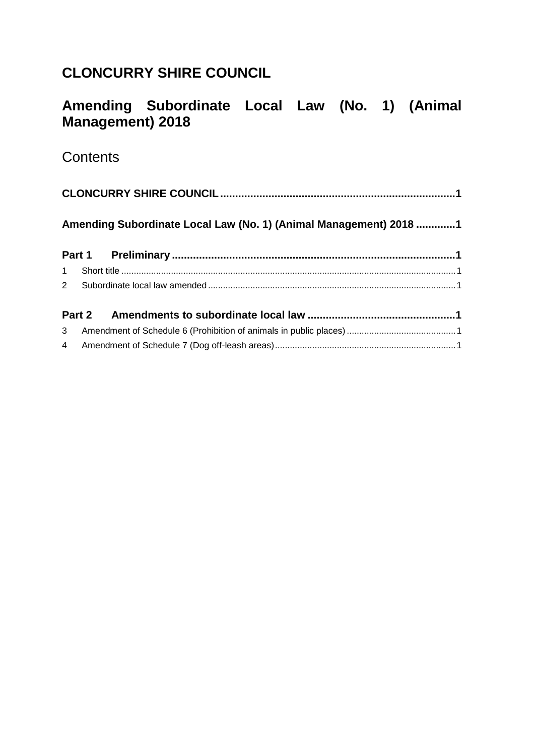# <span id="page-0-0"></span>**CLONCURRY SHIRE COUNCIL**

# <span id="page-0-1"></span>**Amending Subordinate Local Law (No. 1) (Animal Management) 2018**

## **Contents**

| Amending Subordinate Local Law (No. 1) (Animal Management) 2018 1 |  |  |  |  |  |  |
|-------------------------------------------------------------------|--|--|--|--|--|--|
|                                                                   |  |  |  |  |  |  |
|                                                                   |  |  |  |  |  |  |
|                                                                   |  |  |  |  |  |  |
|                                                                   |  |  |  |  |  |  |
|                                                                   |  |  |  |  |  |  |
|                                                                   |  |  |  |  |  |  |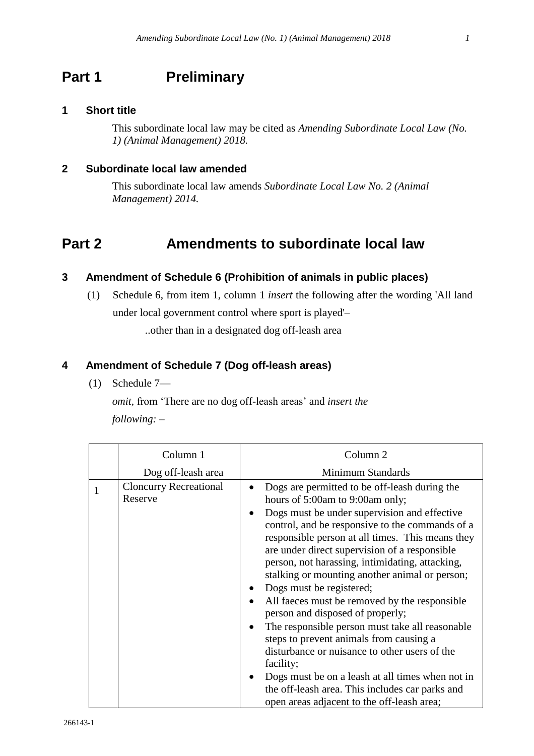## <span id="page-1-0"></span>**Part 1 Preliminary**

#### <span id="page-1-1"></span>**1 Short title**

This subordinate local law may be cited as *Amending Subordinate Local Law (No. 1) (Animal Management) 2018.*

#### <span id="page-1-2"></span>**2 Subordinate local law amended**

This subordinate local law amends *Subordinate Local Law No. 2 (Animal Management) 2014.*

### <span id="page-1-3"></span>**Part 2 Amendments to subordinate local law**

#### <span id="page-1-4"></span>**3 Amendment of Schedule 6 (Prohibition of animals in public places)**

(1) Schedule 6, from item 1, column 1 *insert* the following after the wording 'All land under local government control where sport is played'– ..other than in a designated dog off-leash area

#### <span id="page-1-5"></span>**4 Amendment of Schedule 7 (Dog off-leash areas)**

(1) Schedule 7—

*omit,* from 'There are no dog off-leash areas' and *insert the following:* –

| Column <sub>1</sub>                      | Column <sub>2</sub>                                                                                                                                                                                                                                                                                                                                                                                                                                                                                                                                                                                                                                                                                                                                                                                                            |
|------------------------------------------|--------------------------------------------------------------------------------------------------------------------------------------------------------------------------------------------------------------------------------------------------------------------------------------------------------------------------------------------------------------------------------------------------------------------------------------------------------------------------------------------------------------------------------------------------------------------------------------------------------------------------------------------------------------------------------------------------------------------------------------------------------------------------------------------------------------------------------|
| Dog off-leash area                       | Minimum Standards                                                                                                                                                                                                                                                                                                                                                                                                                                                                                                                                                                                                                                                                                                                                                                                                              |
| <b>Cloncurry Recreational</b><br>Reserve | Dogs are permitted to be off-leash during the<br>hours of 5:00am to 9:00am only;<br>Dogs must be under supervision and effective<br>control, and be responsive to the commands of a<br>responsible person at all times. This means they<br>are under direct supervision of a responsible<br>person, not harassing, intimidating, attacking,<br>stalking or mounting another animal or person;<br>Dogs must be registered;<br>All faces must be removed by the responsible<br>person and disposed of properly;<br>The responsible person must take all reasonable<br>steps to prevent animals from causing a<br>disturbance or nuisance to other users of the<br>facility;<br>Dogs must be on a leash at all times when not in<br>the off-leash area. This includes car parks and<br>open areas adjacent to the off-leash area; |